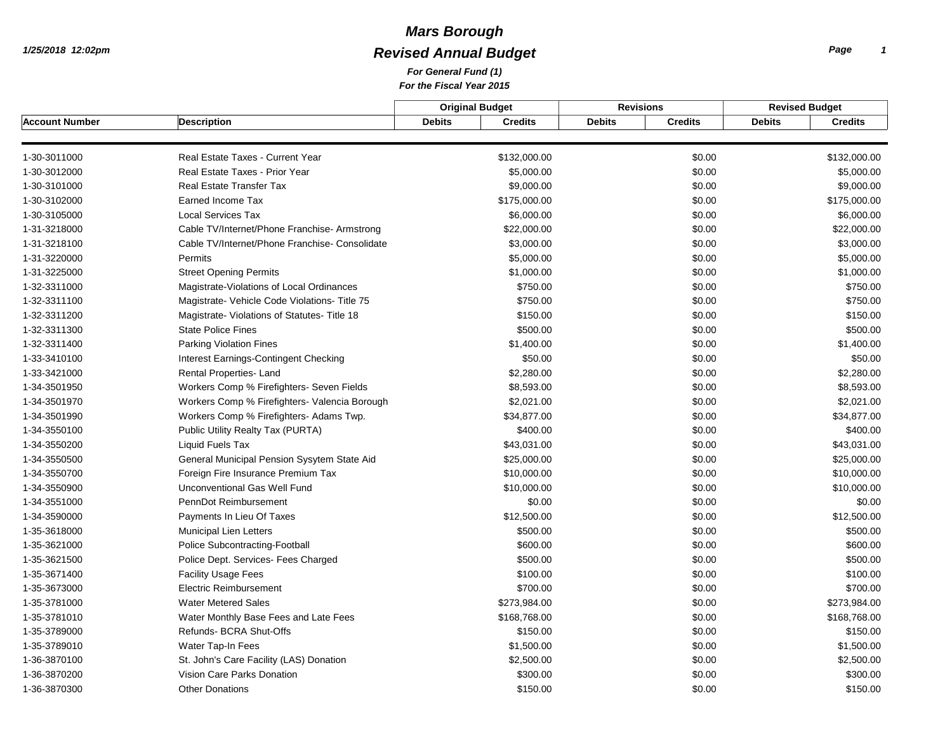## *Revised Annual Budget Mars Borough*

*Page 1*

|                       |                                                | <b>Original Budget</b>          | <b>Revisions</b>                | <b>Revised Budget</b>           |  |
|-----------------------|------------------------------------------------|---------------------------------|---------------------------------|---------------------------------|--|
| <b>Account Number</b> | <b>Description</b>                             | <b>Debits</b><br><b>Credits</b> | <b>Debits</b><br><b>Credits</b> | <b>Debits</b><br><b>Credits</b> |  |
|                       |                                                |                                 |                                 |                                 |  |
| 1-30-3011000          | Real Estate Taxes - Current Year               | \$132,000.00                    | \$0.00                          | \$132,000.00                    |  |
| 1-30-3012000          | Real Estate Taxes - Prior Year                 | \$5,000.00                      | \$0.00                          | \$5,000.00                      |  |
| 1-30-3101000          | Real Estate Transfer Tax                       | \$9,000.00                      | \$0.00                          | \$9,000.00                      |  |
| 1-30-3102000          | Earned Income Tax                              | \$175,000.00                    | \$0.00                          | \$175,000.00                    |  |
| 1-30-3105000          | <b>Local Services Tax</b>                      | \$6,000.00                      | \$0.00                          | \$6,000.00                      |  |
| 1-31-3218000          | Cable TV/Internet/Phone Franchise-Armstrong    | \$22,000.00                     | \$0.00                          | \$22,000.00                     |  |
| 1-31-3218100          | Cable TV/Internet/Phone Franchise- Consolidate | \$3,000.00                      | \$0.00                          | \$3,000.00                      |  |
| 1-31-3220000          | Permits                                        | \$5,000.00                      | \$0.00                          | \$5,000.00                      |  |
| 1-31-3225000          | <b>Street Opening Permits</b>                  | \$1,000.00                      | \$0.00                          | \$1,000.00                      |  |
| 1-32-3311000          | Magistrate-Violations of Local Ordinances      | \$750.00                        | \$0.00                          | \$750.00                        |  |
| 1-32-3311100          | Magistrate- Vehicle Code Violations- Title 75  | \$750.00                        | \$0.00                          | \$750.00                        |  |
| 1-32-3311200          | Magistrate- Violations of Statutes- Title 18   | \$150.00                        | \$0.00                          | \$150.00                        |  |
| 1-32-3311300          | <b>State Police Fines</b>                      | \$500.00                        | \$0.00                          | \$500.00                        |  |
| 1-32-3311400          | <b>Parking Violation Fines</b>                 | \$1,400.00                      | \$0.00                          | \$1,400.00                      |  |
| 1-33-3410100          | Interest Earnings-Contingent Checking          | \$50.00                         | \$0.00                          | \$50.00                         |  |
| 1-33-3421000          | Rental Properties-Land                         | \$2,280.00                      | \$0.00                          | \$2,280.00                      |  |
| 1-34-3501950          | Workers Comp % Firefighters- Seven Fields      | \$8,593.00                      | \$0.00                          | \$8,593.00                      |  |
| 1-34-3501970          | Workers Comp % Firefighters- Valencia Borough  | \$2,021.00                      | \$0.00                          | \$2,021.00                      |  |
| 1-34-3501990          | Workers Comp % Firefighters- Adams Twp.        | \$34,877.00                     | \$0.00                          | \$34,877.00                     |  |
| 1-34-3550100          | Public Utility Realty Tax (PURTA)              | \$400.00                        | \$0.00                          | \$400.00                        |  |
| 1-34-3550200          | Liquid Fuels Tax                               | \$43,031.00                     | \$0.00                          | \$43,031.00                     |  |
| 1-34-3550500          | General Municipal Pension Sysytem State Aid    | \$25,000.00                     | \$0.00                          | \$25,000.00                     |  |
| 1-34-3550700          | Foreign Fire Insurance Premium Tax             | \$10,000.00                     | \$0.00                          | \$10,000.00                     |  |
| 1-34-3550900          | Unconventional Gas Well Fund                   | \$10,000.00                     | \$0.00                          | \$10,000.00                     |  |
| 1-34-3551000          | PennDot Reimbursement                          | \$0.00                          | \$0.00                          | \$0.00                          |  |
| 1-34-3590000          | Payments In Lieu Of Taxes                      | \$12,500.00                     | \$0.00                          | \$12,500.00                     |  |
| 1-35-3618000          | <b>Municipal Lien Letters</b>                  | \$500.00                        | \$0.00                          | \$500.00                        |  |
| 1-35-3621000          | <b>Police Subcontracting-Football</b>          | \$600.00                        | \$0.00                          | \$600.00                        |  |
| 1-35-3621500          | Police Dept. Services- Fees Charged            | \$500.00                        | \$0.00                          | \$500.00                        |  |
| 1-35-3671400          | <b>Facility Usage Fees</b>                     | \$100.00                        | \$0.00                          | \$100.00                        |  |
| 1-35-3673000          | <b>Electric Reimbursement</b>                  | \$700.00                        | \$0.00                          | \$700.00                        |  |
| 1-35-3781000          | <b>Water Metered Sales</b>                     | \$273,984.00                    | \$0.00                          | \$273,984.00                    |  |
| 1-35-3781010          | Water Monthly Base Fees and Late Fees          | \$168,768.00                    | \$0.00                          | \$168,768.00                    |  |
| 1-35-3789000          | Refunds- BCRA Shut-Offs                        | \$150.00                        | \$0.00                          | \$150.00                        |  |
| 1-35-3789010          | Water Tap-In Fees                              | \$1,500.00                      | \$0.00                          | \$1,500.00                      |  |
| 1-36-3870100          | St. John's Care Facility (LAS) Donation        | \$2,500.00                      | \$0.00                          | \$2,500.00                      |  |
| 1-36-3870200          | Vision Care Parks Donation                     | \$300.00                        | \$0.00                          | \$300.00                        |  |
| 1-36-3870300          | <b>Other Donations</b>                         | \$150.00                        | \$0.00                          | \$150.00                        |  |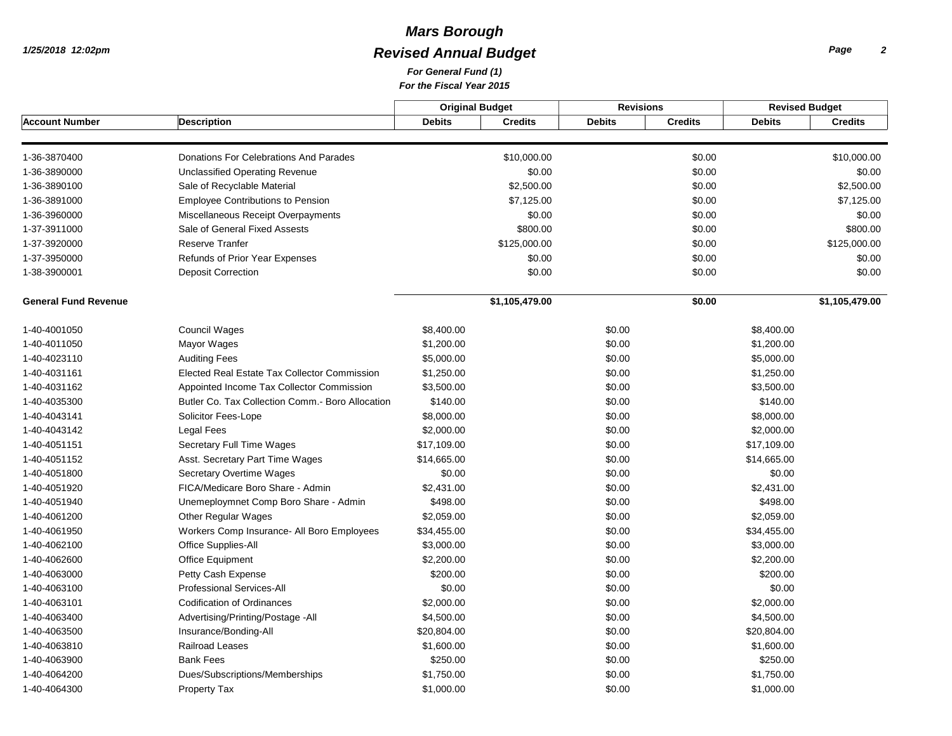# *Revised Annual Budget Mars Borough*

*Page 2*

|                             | <b>Description</b>                                | <b>Original Budget</b> |                | <b>Revisions</b> |                | <b>Revised Budget</b> |                |
|-----------------------------|---------------------------------------------------|------------------------|----------------|------------------|----------------|-----------------------|----------------|
| <b>Account Number</b>       |                                                   | <b>Debits</b>          | <b>Credits</b> | <b>Debits</b>    | <b>Credits</b> | <b>Debits</b>         | <b>Credits</b> |
|                             |                                                   |                        |                |                  |                |                       |                |
| 1-36-3870400                | Donations For Celebrations And Parades            |                        | \$10,000.00    |                  | \$0.00         |                       | \$10,000.00    |
| 1-36-3890000                | <b>Unclassified Operating Revenue</b>             |                        | \$0.00         |                  | \$0.00         |                       | \$0.00         |
| 1-36-3890100                | Sale of Recyclable Material                       |                        | \$2,500.00     |                  | \$0.00         |                       | \$2,500.00     |
| 1-36-3891000                | <b>Employee Contributions to Pension</b>          |                        | \$7,125.00     |                  | \$0.00         |                       | \$7,125.00     |
| 1-36-3960000                | Miscellaneous Receipt Overpayments                |                        | \$0.00         |                  | \$0.00         |                       | \$0.00         |
| 1-37-3911000                | Sale of General Fixed Assests                     |                        | \$800.00       |                  | \$0.00         |                       | \$800.00       |
| 1-37-3920000                | <b>Reserve Tranfer</b>                            |                        | \$125,000.00   |                  | \$0.00         |                       | \$125,000.00   |
| 1-37-3950000                | Refunds of Prior Year Expenses                    |                        | \$0.00         |                  | \$0.00         |                       | \$0.00         |
| 1-38-3900001                | <b>Deposit Correction</b>                         |                        | \$0.00         |                  | \$0.00         |                       | \$0.00         |
| <b>General Fund Revenue</b> |                                                   |                        | \$1,105,479.00 |                  | \$0.00         |                       | \$1,105,479.00 |
| 1-40-4001050                | <b>Council Wages</b>                              | \$8,400.00             |                | \$0.00           |                | \$8,400.00            |                |
| 1-40-4011050                | Mayor Wages                                       | \$1,200.00             |                | \$0.00           |                | \$1,200.00            |                |
| 1-40-4023110                | <b>Auditing Fees</b>                              | \$5,000.00             |                | \$0.00           |                | \$5,000.00            |                |
| 1-40-4031161                | Elected Real Estate Tax Collector Commission      | \$1,250.00             |                | \$0.00           |                | \$1,250.00            |                |
| 1-40-4031162                | Appointed Income Tax Collector Commission         | \$3,500.00             |                | \$0.00           |                | \$3,500.00            |                |
| 1-40-4035300                | Butler Co. Tax Collection Comm. - Boro Allocation | \$140.00               |                | \$0.00           |                | \$140.00              |                |
| 1-40-4043141                | Solicitor Fees-Lope                               | \$8,000.00             |                | \$0.00           |                | \$8,000.00            |                |
| 1-40-4043142                | Legal Fees                                        | \$2,000.00             |                | \$0.00           |                | \$2,000.00            |                |
| 1-40-4051151                | Secretary Full Time Wages                         | \$17,109.00            |                | \$0.00           |                | \$17,109.00           |                |
| 1-40-4051152                | Asst. Secretary Part Time Wages                   | \$14,665.00            |                | \$0.00           |                | \$14,665.00           |                |
| 1-40-4051800                | <b>Secretary Overtime Wages</b>                   | \$0.00                 |                | \$0.00           |                | \$0.00                |                |
| 1-40-4051920                | FICA/Medicare Boro Share - Admin                  | \$2,431.00             |                | \$0.00           |                | \$2,431.00            |                |
| 1-40-4051940                | Unemeploymnet Comp Boro Share - Admin             | \$498.00               |                | \$0.00           |                | \$498.00              |                |
| 1-40-4061200                | <b>Other Regular Wages</b>                        | \$2,059.00             |                | \$0.00           |                | \$2,059.00            |                |
| 1-40-4061950                | Workers Comp Insurance- All Boro Employees        | \$34,455.00            |                | \$0.00           |                | \$34,455.00           |                |
| 1-40-4062100                | <b>Office Supplies-All</b>                        | \$3,000.00             |                | \$0.00           |                | \$3,000.00            |                |
| 1-40-4062600                | <b>Office Equipment</b>                           | \$2,200.00             |                | \$0.00           |                | \$2,200.00            |                |
| 1-40-4063000                | Petty Cash Expense                                | \$200.00               |                | \$0.00           |                | \$200.00              |                |
| 1-40-4063100                | <b>Professional Services-All</b>                  | \$0.00                 |                | \$0.00           |                | \$0.00                |                |
| 1-40-4063101                | <b>Codification of Ordinances</b>                 | \$2,000.00             |                | \$0.00           |                | \$2,000.00            |                |
| 1-40-4063400                | Advertising/Printing/Postage -All                 | \$4,500.00             |                | \$0.00           |                | \$4,500.00            |                |
| 1-40-4063500                | Insurance/Bonding-All                             | \$20,804.00            |                | \$0.00           |                | \$20,804.00           |                |
| 1-40-4063810                | <b>Railroad Leases</b>                            | \$1,600.00             |                | \$0.00           |                | \$1,600.00            |                |
| 1-40-4063900                | <b>Bank Fees</b>                                  | \$250.00               |                | \$0.00           |                | \$250.00              |                |
| 1-40-4064200                | Dues/Subscriptions/Memberships                    | \$1,750.00             |                | \$0.00           |                | \$1,750.00            |                |
| 1-40-4064300                | Property Tax                                      | \$1,000.00             |                | \$0.00           |                | \$1,000.00            |                |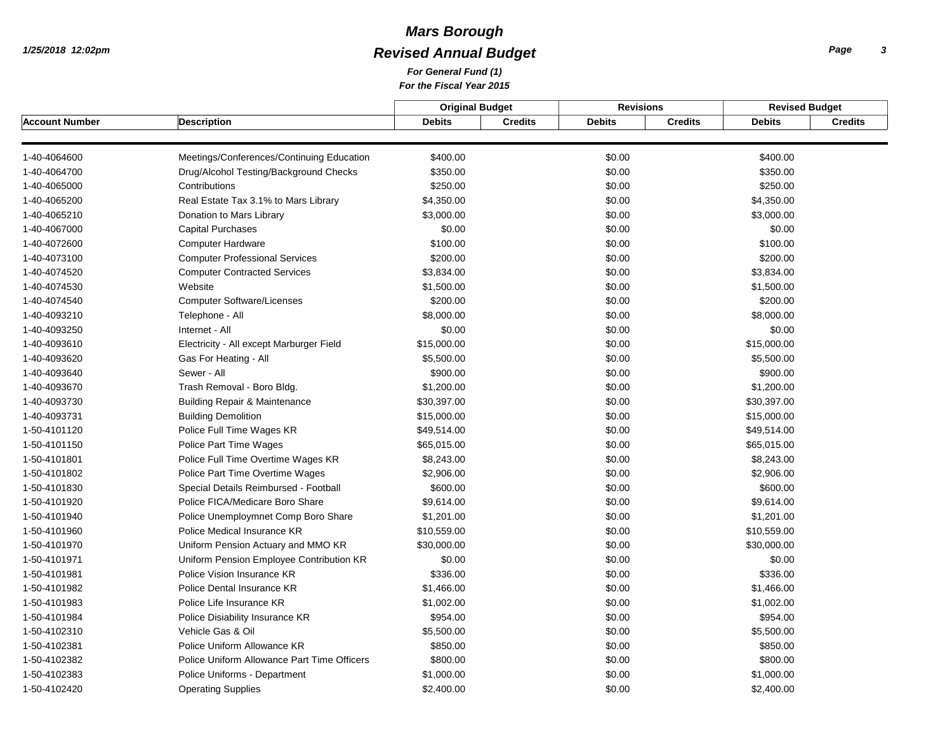# *Revised Annual Budget Mars Borough*

*Page 3*

| <b>Account Number</b> | <b>Description</b>                                 | <b>Original Budget</b> |                | <b>Revisions</b> |                | <b>Revised Budget</b> |                |
|-----------------------|----------------------------------------------------|------------------------|----------------|------------------|----------------|-----------------------|----------------|
|                       |                                                    | <b>Debits</b>          | <b>Credits</b> | <b>Debits</b>    | <b>Credits</b> | <b>Debits</b>         | <b>Credits</b> |
|                       |                                                    |                        |                |                  |                |                       |                |
| 1-40-4064600          | Meetings/Conferences/Continuing Education          | \$400.00               |                | \$0.00           |                | \$400.00              |                |
| 1-40-4064700          | Drug/Alcohol Testing/Background Checks             | \$350.00               |                | \$0.00           |                | \$350.00              |                |
| 1-40-4065000          | Contributions                                      | \$250.00               |                | \$0.00           |                | \$250.00              |                |
| 1-40-4065200          | Real Estate Tax 3.1% to Mars Library               | \$4,350.00             |                | \$0.00           |                | \$4,350.00            |                |
| 1-40-4065210          | Donation to Mars Library                           | \$3,000.00             |                | \$0.00           |                | \$3,000.00            |                |
| 1-40-4067000          | <b>Capital Purchases</b>                           | \$0.00                 |                | \$0.00           |                | \$0.00                |                |
| 1-40-4072600          | <b>Computer Hardware</b>                           | \$100.00               |                | \$0.00           |                | \$100.00              |                |
| 1-40-4073100          | <b>Computer Professional Services</b>              | \$200.00               |                | \$0.00           |                | \$200.00              |                |
| 1-40-4074520          | <b>Computer Contracted Services</b>                | \$3,834.00             |                | \$0.00           |                | \$3,834.00            |                |
| 1-40-4074530          | Website                                            | \$1,500.00             |                | \$0.00           |                | \$1,500.00            |                |
| 1-40-4074540          | <b>Computer Software/Licenses</b>                  | \$200.00               |                | \$0.00           |                | \$200.00              |                |
| 1-40-4093210          | Telephone - All                                    | \$8,000.00             |                | \$0.00           |                | \$8,000.00            |                |
| 1-40-4093250          | Internet - All                                     | \$0.00                 |                | \$0.00           |                | \$0.00                |                |
| 1-40-4093610          | Electricity - All except Marburger Field           | \$15,000.00            |                | \$0.00           |                | \$15,000.00           |                |
| 1-40-4093620          | Gas For Heating - All                              | \$5,500.00             |                | \$0.00           |                | \$5,500.00            |                |
| 1-40-4093640          | Sewer - All                                        | \$900.00               |                | \$0.00           |                | \$900.00              |                |
| 1-40-4093670          | Trash Removal - Boro Bldg.                         | \$1,200.00             |                | \$0.00           |                | \$1,200.00            |                |
| 1-40-4093730          | <b>Building Repair &amp; Maintenance</b>           | \$30,397.00            |                | \$0.00           |                | \$30,397.00           |                |
| 1-40-4093731          | <b>Building Demolition</b>                         | \$15,000.00            |                | \$0.00           |                | \$15,000.00           |                |
| 1-50-4101120          | Police Full Time Wages KR                          | \$49,514.00            |                | \$0.00           |                | \$49,514.00           |                |
| 1-50-4101150          | Police Part Time Wages                             | \$65,015.00            |                | \$0.00           |                | \$65,015.00           |                |
| 1-50-4101801          | Police Full Time Overtime Wages KR                 | \$8,243.00             |                | \$0.00           |                | \$8,243.00            |                |
| 1-50-4101802          | Police Part Time Overtime Wages                    | \$2,906.00             |                | \$0.00           |                | \$2,906.00            |                |
| 1-50-4101830          | Special Details Reimbursed - Football              | \$600.00               |                | \$0.00           |                | \$600.00              |                |
| 1-50-4101920          | Police FICA/Medicare Boro Share                    | \$9,614.00             |                | \$0.00           |                | \$9,614.00            |                |
| 1-50-4101940          | Police Unemploymnet Comp Boro Share                | \$1,201.00             |                | \$0.00           |                | \$1,201.00            |                |
| 1-50-4101960          | Police Medical Insurance KR                        | \$10,559.00            |                | \$0.00           |                | \$10,559.00           |                |
| 1-50-4101970          | Uniform Pension Actuary and MMO KR                 | \$30,000.00            |                | \$0.00           |                | \$30,000.00           |                |
| 1-50-4101971          | Uniform Pension Employee Contribution KR           | \$0.00                 |                | \$0.00           |                | \$0.00                |                |
| 1-50-4101981          | Police Vision Insurance KR                         | \$336.00               |                | \$0.00           |                | \$336.00              |                |
| 1-50-4101982          | Police Dental Insurance KR                         | \$1,466.00             |                | \$0.00           |                | \$1,466.00            |                |
| 1-50-4101983          | Police Life Insurance KR                           | \$1,002.00             |                | \$0.00           |                | \$1,002.00            |                |
| 1-50-4101984          | Police Disiability Insurance KR                    | \$954.00               |                | \$0.00           |                | \$954.00              |                |
| 1-50-4102310          | Vehicle Gas & Oil                                  | \$5,500.00             |                | \$0.00           |                | \$5,500.00            |                |
| 1-50-4102381          | Police Uniform Allowance KR                        | \$850.00               |                | \$0.00           |                | \$850.00              |                |
| 1-50-4102382          | <b>Police Uniform Allowance Part Time Officers</b> | \$800.00               |                | \$0.00           |                | \$800.00              |                |
| 1-50-4102383          | Police Uniforms - Department                       | \$1,000.00             |                | \$0.00           |                | \$1,000.00            |                |
| 1-50-4102420          | <b>Operating Supplies</b>                          | \$2,400.00             |                | \$0.00           |                | \$2,400.00            |                |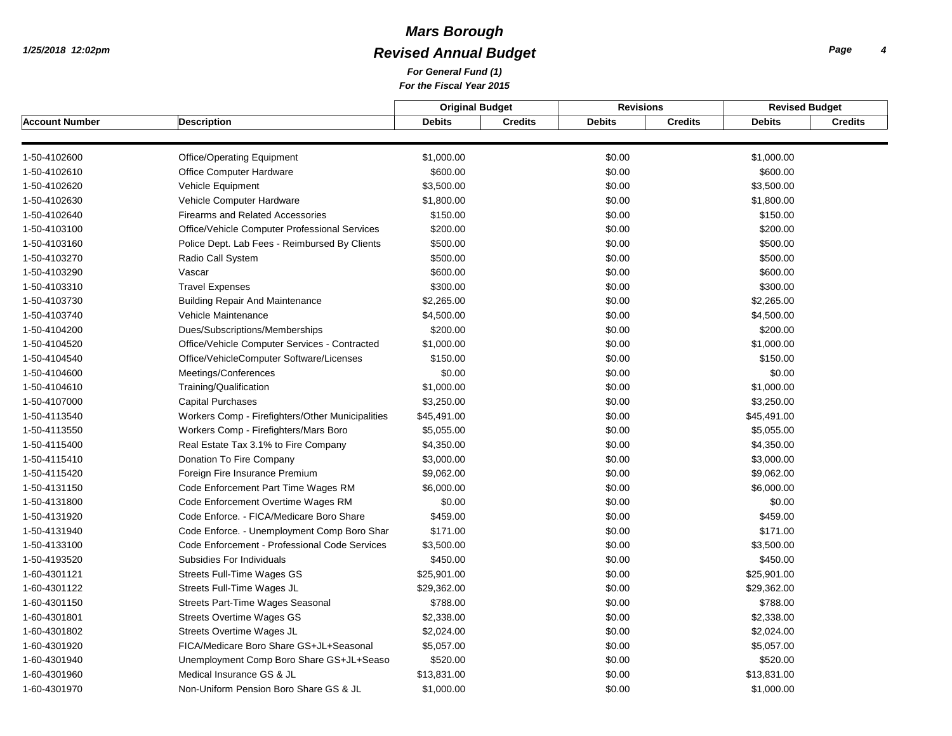### *Revised Annual Budget Mars Borough*

*Page 4*

| <b>Account Number</b> | <b>Description</b>                               | <b>Original Budget</b> |                | <b>Revisions</b> |                | <b>Revised Budget</b> |                |
|-----------------------|--------------------------------------------------|------------------------|----------------|------------------|----------------|-----------------------|----------------|
|                       |                                                  | <b>Debits</b>          | <b>Credits</b> | <b>Debits</b>    | <b>Credits</b> | <b>Debits</b>         | <b>Credits</b> |
|                       |                                                  |                        |                |                  |                |                       |                |
| 1-50-4102600          | <b>Office/Operating Equipment</b>                | \$1,000.00             |                | \$0.00           |                | \$1,000.00            |                |
| 1-50-4102610          | Office Computer Hardware                         | \$600.00               |                | \$0.00           |                | \$600.00              |                |
| 1-50-4102620          | Vehicle Equipment                                | \$3,500.00             |                | \$0.00           |                | \$3,500.00            |                |
| 1-50-4102630          | Vehicle Computer Hardware                        | \$1,800.00             |                | \$0.00           |                | \$1,800.00            |                |
| 1-50-4102640          | <b>Firearms and Related Accessories</b>          | \$150.00               |                | \$0.00           |                | \$150.00              |                |
| 1-50-4103100          | Office/Vehicle Computer Professional Services    | \$200.00               |                | \$0.00           |                | \$200.00              |                |
| 1-50-4103160          | Police Dept. Lab Fees - Reimbursed By Clients    | \$500.00               |                | \$0.00           |                | \$500.00              |                |
| 1-50-4103270          | Radio Call System                                | \$500.00               |                | \$0.00           |                | \$500.00              |                |
| 1-50-4103290          | Vascar                                           | \$600.00               |                | \$0.00           |                | \$600.00              |                |
| 1-50-4103310          | <b>Travel Expenses</b>                           | \$300.00               |                | \$0.00           |                | \$300.00              |                |
| 1-50-4103730          | <b>Building Repair And Maintenance</b>           | \$2,265.00             |                | \$0.00           |                | \$2,265.00            |                |
| 1-50-4103740          | Vehicle Maintenance                              | \$4,500.00             |                | \$0.00           |                | \$4,500.00            |                |
| 1-50-4104200          | Dues/Subscriptions/Memberships                   | \$200.00               |                | \$0.00           |                | \$200.00              |                |
| 1-50-4104520          | Office/Vehicle Computer Services - Contracted    | \$1,000.00             |                | \$0.00           |                | \$1,000.00            |                |
| 1-50-4104540          | Office/VehicleComputer Software/Licenses         | \$150.00               |                | \$0.00           |                | \$150.00              |                |
| 1-50-4104600          | Meetings/Conferences                             | \$0.00                 |                | \$0.00           |                | \$0.00                |                |
| 1-50-4104610          | Training/Qualification                           | \$1,000.00             |                | \$0.00           |                | \$1,000.00            |                |
| 1-50-4107000          | <b>Capital Purchases</b>                         | \$3,250.00             |                | \$0.00           |                | \$3,250.00            |                |
| 1-50-4113540          | Workers Comp - Firefighters/Other Municipalities | \$45,491.00            |                | \$0.00           |                | \$45,491.00           |                |
| 1-50-4113550          | Workers Comp - Firefighters/Mars Boro            | \$5,055.00             |                | \$0.00           |                | \$5,055.00            |                |
| 1-50-4115400          | Real Estate Tax 3.1% to Fire Company             | \$4,350.00             |                | \$0.00           |                | \$4,350.00            |                |
| 1-50-4115410          | Donation To Fire Company                         | \$3,000.00             |                | \$0.00           |                | \$3,000.00            |                |
| 1-50-4115420          | Foreign Fire Insurance Premium                   | \$9,062.00             |                | \$0.00           |                | \$9,062.00            |                |
| 1-50-4131150          | Code Enforcement Part Time Wages RM              | \$6,000.00             |                | \$0.00           |                | \$6,000.00            |                |
| 1-50-4131800          | Code Enforcement Overtime Wages RM               | \$0.00                 |                | \$0.00           |                | \$0.00                |                |
| 1-50-4131920          | Code Enforce. - FICA/Medicare Boro Share         | \$459.00               |                | \$0.00           |                | \$459.00              |                |
| 1-50-4131940          | Code Enforce. - Unemployment Comp Boro Shar      | \$171.00               |                | \$0.00           |                | \$171.00              |                |
| 1-50-4133100          | Code Enforcement - Professional Code Services    | \$3,500.00             |                | \$0.00           |                | \$3,500.00            |                |
| 1-50-4193520          | Subsidies For Individuals                        | \$450.00               |                | \$0.00           |                | \$450.00              |                |
| 1-60-4301121          | Streets Full-Time Wages GS                       | \$25,901.00            |                | \$0.00           |                | \$25,901.00           |                |
| 1-60-4301122          | Streets Full-Time Wages JL                       | \$29,362.00            |                | \$0.00           |                | \$29,362.00           |                |
| 1-60-4301150          | Streets Part-Time Wages Seasonal                 | \$788.00               |                | \$0.00           |                | \$788.00              |                |
| 1-60-4301801          | <b>Streets Overtime Wages GS</b>                 | \$2,338.00             |                | \$0.00           |                | \$2,338.00            |                |
| 1-60-4301802          | Streets Overtime Wages JL                        | \$2,024.00             |                | \$0.00           |                | \$2,024.00            |                |
| 1-60-4301920          | FICA/Medicare Boro Share GS+JL+Seasonal          | \$5,057.00             |                | \$0.00           |                | \$5,057.00            |                |
| 1-60-4301940          | Unemployment Comp Boro Share GS+JL+Seaso         | \$520.00               |                | \$0.00           |                | \$520.00              |                |
| 1-60-4301960          | Medical Insurance GS & JL                        | \$13,831.00            |                | \$0.00           |                | \$13,831.00           |                |
| 1-60-4301970          | Non-Uniform Pension Boro Share GS & JL           | \$1,000.00             |                | \$0.00           |                | \$1,000.00            |                |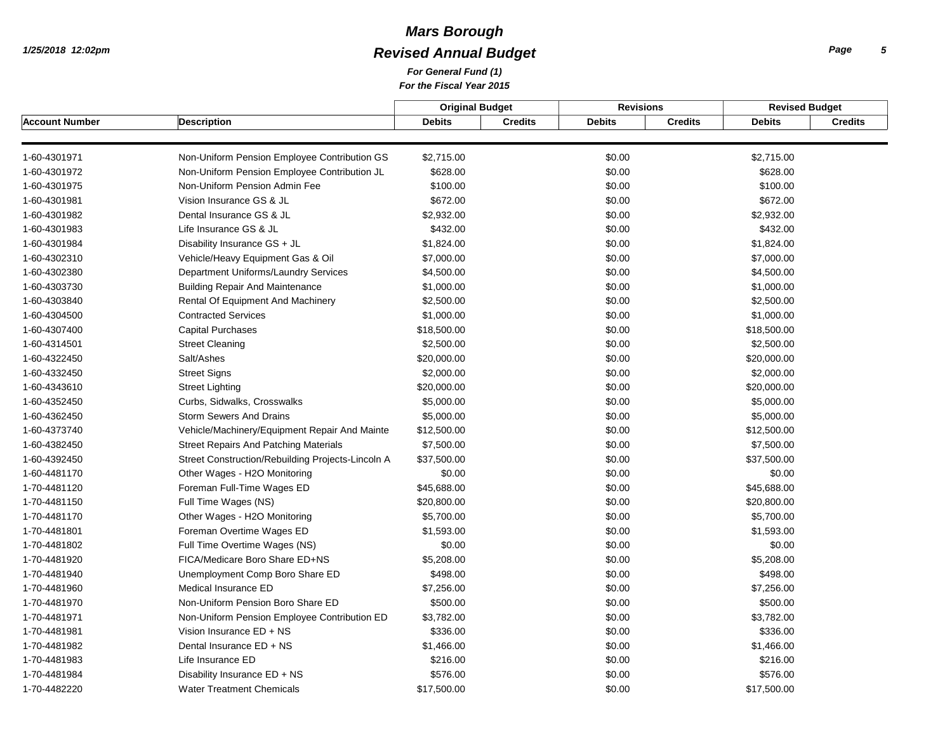# *Revised Annual Budget Mars Borough*

*Page 5*

| <b>Account Number</b> | <b>Description</b>                                | <b>Original Budget</b> |                | <b>Revisions</b> |                | <b>Revised Budget</b> |                |
|-----------------------|---------------------------------------------------|------------------------|----------------|------------------|----------------|-----------------------|----------------|
|                       |                                                   | <b>Debits</b>          | <b>Credits</b> | <b>Debits</b>    | <b>Credits</b> | <b>Debits</b>         | <b>Credits</b> |
|                       |                                                   |                        |                |                  |                |                       |                |
| 1-60-4301971          | Non-Uniform Pension Employee Contribution GS      | \$2,715.00             |                | \$0.00           |                | \$2,715.00            |                |
| 1-60-4301972          | Non-Uniform Pension Employee Contribution JL      | \$628.00               |                | \$0.00           |                | \$628.00              |                |
| 1-60-4301975          | Non-Uniform Pension Admin Fee                     | \$100.00               |                | \$0.00           |                | \$100.00              |                |
| 1-60-4301981          | Vision Insurance GS & JL                          | \$672.00               |                | \$0.00           |                | \$672.00              |                |
| 1-60-4301982          | Dental Insurance GS & JL                          | \$2,932.00             |                | \$0.00           |                | \$2,932.00            |                |
| 1-60-4301983          | Life Insurance GS & JL                            | \$432.00               |                | \$0.00           |                | \$432.00              |                |
| 1-60-4301984          | Disability Insurance GS + JL                      | \$1,824.00             |                | \$0.00           |                | \$1,824.00            |                |
| 1-60-4302310          | Vehicle/Heavy Equipment Gas & Oil                 | \$7,000.00             |                | \$0.00           |                | \$7,000.00            |                |
| 1-60-4302380          | Department Uniforms/Laundry Services              | \$4,500.00             |                | \$0.00           |                | \$4,500.00            |                |
| 1-60-4303730          | <b>Building Repair And Maintenance</b>            | \$1,000.00             |                | \$0.00           |                | \$1,000.00            |                |
| 1-60-4303840          | Rental Of Equipment And Machinery                 | \$2,500.00             |                | \$0.00           |                | \$2,500.00            |                |
| 1-60-4304500          | <b>Contracted Services</b>                        | \$1,000.00             |                | \$0.00           |                | \$1,000.00            |                |
| 1-60-4307400          | <b>Capital Purchases</b>                          | \$18,500.00            |                | \$0.00           |                | \$18,500.00           |                |
| 1-60-4314501          | <b>Street Cleaning</b>                            | \$2,500.00             |                | \$0.00           |                | \$2,500.00            |                |
| 1-60-4322450          | Salt/Ashes                                        | \$20,000.00            |                | \$0.00           |                | \$20,000.00           |                |
| 1-60-4332450          | <b>Street Signs</b>                               | \$2,000.00             |                | \$0.00           |                | \$2,000.00            |                |
| 1-60-4343610          | <b>Street Lighting</b>                            | \$20,000.00            |                | \$0.00           |                | \$20,000.00           |                |
| 1-60-4352450          | Curbs, Sidwalks, Crosswalks                       | \$5,000.00             |                | \$0.00           |                | \$5,000.00            |                |
| 1-60-4362450          | <b>Storm Sewers And Drains</b>                    | \$5,000.00             |                | \$0.00           |                | \$5,000.00            |                |
| 1-60-4373740          | Vehicle/Machinery/Equipment Repair And Mainte     | \$12,500.00            |                | \$0.00           |                | \$12,500.00           |                |
| 1-60-4382450          | <b>Street Repairs And Patching Materials</b>      | \$7,500.00             |                | \$0.00           |                | \$7,500.00            |                |
| 1-60-4392450          | Street Construction/Rebuilding Projects-Lincoln A | \$37,500.00            |                | \$0.00           |                | \$37,500.00           |                |
| 1-60-4481170          | Other Wages - H2O Monitoring                      | \$0.00                 |                | \$0.00           |                | \$0.00                |                |
| 1-70-4481120          | Foreman Full-Time Wages ED                        | \$45,688.00            |                | \$0.00           |                | \$45,688.00           |                |
| 1-70-4481150          | Full Time Wages (NS)                              | \$20,800.00            |                | \$0.00           |                | \$20,800.00           |                |
| 1-70-4481170          | Other Wages - H2O Monitoring                      | \$5,700.00             |                | \$0.00           |                | \$5,700.00            |                |
| 1-70-4481801          | Foreman Overtime Wages ED                         | \$1,593.00             |                | \$0.00           |                | \$1,593.00            |                |
| 1-70-4481802          | Full Time Overtime Wages (NS)                     | \$0.00                 |                | \$0.00           |                | \$0.00                |                |
| 1-70-4481920          | FICA/Medicare Boro Share ED+NS                    | \$5,208.00             |                | \$0.00           |                | \$5,208.00            |                |
| 1-70-4481940          | Unemployment Comp Boro Share ED                   | \$498.00               |                | \$0.00           |                | \$498.00              |                |
| 1-70-4481960          | Medical Insurance ED                              | \$7,256.00             |                | \$0.00           |                | \$7,256.00            |                |
| 1-70-4481970          | Non-Uniform Pension Boro Share ED                 | \$500.00               |                | \$0.00           |                | \$500.00              |                |
| 1-70-4481971          | Non-Uniform Pension Employee Contribution ED      | \$3,782.00             |                | \$0.00           |                | \$3,782.00            |                |
| 1-70-4481981          | Vision Insurance ED + NS                          | \$336.00               |                | \$0.00           |                | \$336.00              |                |
| 1-70-4481982          | Dental Insurance ED + NS                          | \$1,466.00             |                | \$0.00           |                | \$1,466.00            |                |
| 1-70-4481983          | Life Insurance ED                                 | \$216.00               |                | \$0.00           |                | \$216.00              |                |
| 1-70-4481984          | Disability Insurance ED + NS                      | \$576.00               |                | \$0.00           |                | \$576.00              |                |
| 1-70-4482220          | <b>Water Treatment Chemicals</b>                  | \$17,500.00            |                | \$0.00           |                | \$17,500.00           |                |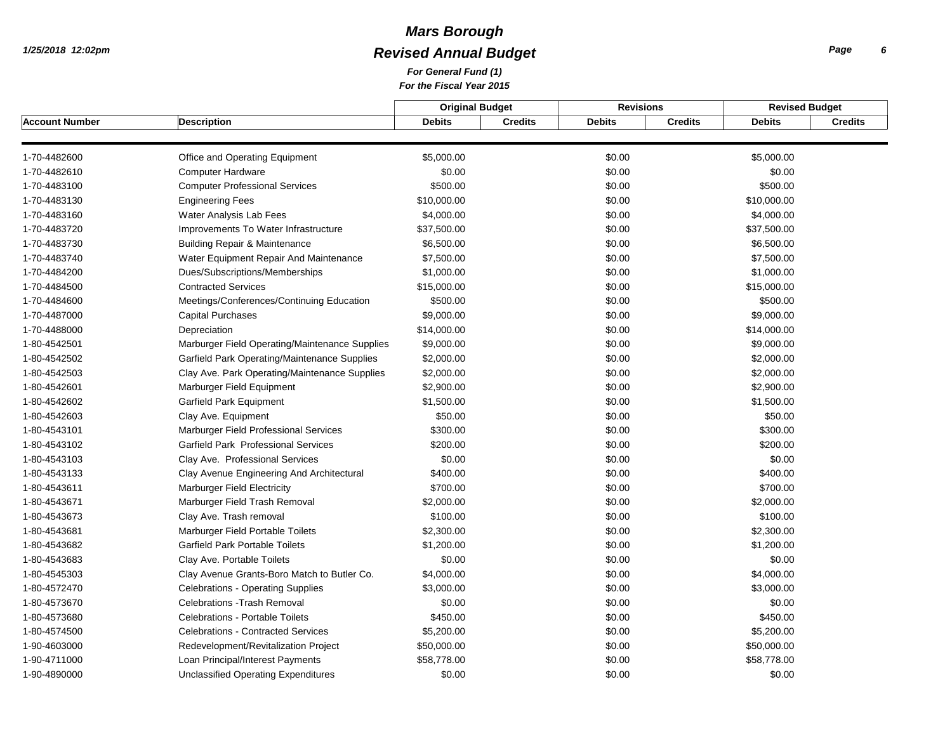### *Revised Annual Budget Mars Borough*

*Page 6*

| <b>Account Number</b> | <b>Description</b>                             | <b>Original Budget</b> |                | <b>Revisions</b> |                | <b>Revised Budget</b> |                |
|-----------------------|------------------------------------------------|------------------------|----------------|------------------|----------------|-----------------------|----------------|
|                       |                                                | <b>Debits</b>          | <b>Credits</b> | <b>Debits</b>    | <b>Credits</b> | <b>Debits</b>         | <b>Credits</b> |
|                       |                                                |                        |                |                  |                |                       |                |
| 1-70-4482600          | Office and Operating Equipment                 | \$5,000.00             |                | \$0.00           |                | \$5,000.00            |                |
| 1-70-4482610          | <b>Computer Hardware</b>                       | \$0.00                 |                | \$0.00           |                | \$0.00                |                |
| 1-70-4483100          | <b>Computer Professional Services</b>          | \$500.00               |                | \$0.00           |                | \$500.00              |                |
| 1-70-4483130          | <b>Engineering Fees</b>                        | \$10,000.00            |                | \$0.00           |                | \$10,000.00           |                |
| 1-70-4483160          | Water Analysis Lab Fees                        | \$4,000.00             |                | \$0.00           |                | \$4,000.00            |                |
| 1-70-4483720          | Improvements To Water Infrastructure           | \$37,500.00            |                | \$0.00           |                | \$37,500.00           |                |
| 1-70-4483730          | <b>Building Repair &amp; Maintenance</b>       | \$6,500.00             |                | \$0.00           |                | \$6,500.00            |                |
| 1-70-4483740          | Water Equipment Repair And Maintenance         | \$7,500.00             |                | \$0.00           |                | \$7,500.00            |                |
| 1-70-4484200          | Dues/Subscriptions/Memberships                 | \$1,000.00             |                | \$0.00           |                | \$1,000.00            |                |
| 1-70-4484500          | <b>Contracted Services</b>                     | \$15,000.00            |                | \$0.00           |                | \$15,000.00           |                |
| 1-70-4484600          | Meetings/Conferences/Continuing Education      | \$500.00               |                | \$0.00           |                | \$500.00              |                |
| 1-70-4487000          | <b>Capital Purchases</b>                       | \$9,000.00             |                | \$0.00           |                | \$9,000.00            |                |
| 1-70-4488000          | Depreciation                                   | \$14,000.00            |                | \$0.00           |                | \$14,000.00           |                |
| 1-80-4542501          | Marburger Field Operating/Maintenance Supplies | \$9,000.00             |                | \$0.00           |                | \$9,000.00            |                |
| 1-80-4542502          | Garfield Park Operating/Maintenance Supplies   | \$2,000.00             |                | \$0.00           |                | \$2,000.00            |                |
| 1-80-4542503          | Clay Ave. Park Operating/Maintenance Supplies  | \$2,000.00             |                | \$0.00           |                | \$2,000.00            |                |
| 1-80-4542601          | Marburger Field Equipment                      | \$2,900.00             |                | \$0.00           |                | \$2,900.00            |                |
| 1-80-4542602          | Garfield Park Equipment                        | \$1,500.00             |                | \$0.00           |                | \$1,500.00            |                |
| 1-80-4542603          | Clay Ave. Equipment                            | \$50.00                |                | \$0.00           |                | \$50.00               |                |
| 1-80-4543101          | Marburger Field Professional Services          | \$300.00               |                | \$0.00           |                | \$300.00              |                |
| 1-80-4543102          | <b>Garfield Park Professional Services</b>     | \$200.00               |                | \$0.00           |                | \$200.00              |                |
| 1-80-4543103          | Clay Ave. Professional Services                | \$0.00                 |                | \$0.00           |                | \$0.00                |                |
| 1-80-4543133          | Clay Avenue Engineering And Architectural      | \$400.00               |                | \$0.00           |                | \$400.00              |                |
| 1-80-4543611          | <b>Marburger Field Electricity</b>             | \$700.00               |                | \$0.00           |                | \$700.00              |                |
| 1-80-4543671          | Marburger Field Trash Removal                  | \$2,000.00             |                | \$0.00           |                | \$2,000.00            |                |
| 1-80-4543673          | Clay Ave. Trash removal                        | \$100.00               |                | \$0.00           |                | \$100.00              |                |
| 1-80-4543681          | Marburger Field Portable Toilets               | \$2,300.00             |                | \$0.00           |                | \$2,300.00            |                |
| 1-80-4543682          | <b>Garfield Park Portable Toilets</b>          | \$1,200.00             |                | \$0.00           |                | \$1,200.00            |                |
| 1-80-4543683          | Clay Ave. Portable Toilets                     | \$0.00                 |                | \$0.00           |                | \$0.00                |                |
| 1-80-4545303          | Clay Avenue Grants-Boro Match to Butler Co.    | \$4,000.00             |                | \$0.00           |                | \$4,000.00            |                |
| 1-80-4572470          | <b>Celebrations - Operating Supplies</b>       | \$3,000.00             |                | \$0.00           |                | \$3,000.00            |                |
| 1-80-4573670          | <b>Celebrations - Trash Removal</b>            | \$0.00                 |                | \$0.00           |                | \$0.00                |                |
| 1-80-4573680          | <b>Celebrations - Portable Toilets</b>         | \$450.00               |                | \$0.00           |                | \$450.00              |                |
| 1-80-4574500          | <b>Celebrations - Contracted Services</b>      | \$5,200.00             |                | \$0.00           |                | \$5,200.00            |                |
| 1-90-4603000          | Redevelopment/Revitalization Project           | \$50,000.00            |                | \$0.00           |                | \$50,000.00           |                |
| 1-90-4711000          | Loan Principal/Interest Payments               | \$58,778.00            |                | \$0.00           |                | \$58,778.00           |                |
| 1-90-4890000          | Unclassified Operating Expenditures            | \$0.00                 |                | \$0.00           |                | \$0.00                |                |